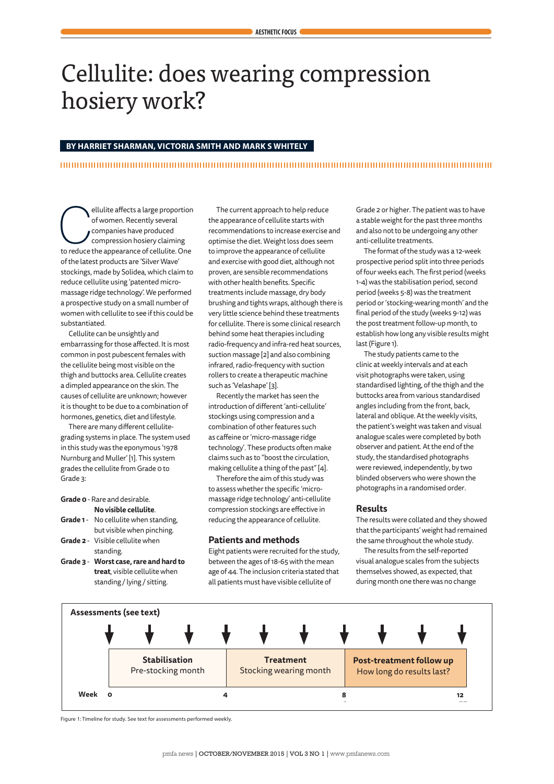# Cellulite: does wearing compression hosiery work?

### **BY HARRIET SHARMAN, VICTORIA SMITH AND MARK S WHITELY**

ellulite affects a large proportion<br>
of women. Recently several<br>
compression hosiery claiming<br>
to reduce the appearance of cellulite. One of women. Recently several companies have produced compression hosiery claiming of the latest products are 'Silver Wave' stockings, made by Solidea, which claim to reduce cellulite using 'patented micromassage ridge technology'. We performed a prospective study on a small number of women with cellulite to see if this could be substantiated.

Cellulite can be unsightly and embarrassing for those affected. It is most common in post pubescent females with the cellulite being most visible on the thigh and buttocks area. Cellulite creates a dimpled appearance on the skin. The causes of cellulite are unknown; however it is thought to be due to a combination of hormones, genetics, diet and lifestyle.

There are many different cellulitegrading systems in place. The system used in this study was the eponymous '1978 Nurnburg and Muller' [1]. This system grades the cellulite from Grade 0 to Grade 3:

### **Grade 0** - Rare and desirable. **No visible cellulite**.

- **Grade 1** No cellulite when standing, but visible when pinching. **Grade 2** - Visible cellulite when
- standing.
- **Grade 3 Worst case, rare and hard to treat**, visible cellulite when standing / lying / sitting.

The current approach to help reduce the appearance of cellulite starts with recommendations to increase exercise and optimise the diet. Weight loss does seem to improve the appearance of cellulite and exercise with good diet, although not proven, are sensible recommendations with other health benefits. Specific treatments include massage, dry body brushing and tights wraps, although there is very little science behind these treatments for cellulite. There is some clinical research behind some heat therapies including radio-frequency and infra-red heat sources, suction massage [2] and also combining infrared, radio-frequency with suction rollers to create a therapeutic machine such as 'Velashape' [3].

Recently the market has seen the introduction of different 'anti-cellulite' stockings using compression and a combination of other features such as caffeine or 'micro-massage ridge technology'. These products often make claims such as to "boost the circulation, making cellulite a thing of the past" [4].

Therefore the aim of this study was to assess whether the specific 'micromassage ridge technology' anti-cellulite compression stockings are effective in reducing the appearance of cellulite.

### **Patients and methods**

Eight patients were recruited for the study, between the ages of 18-65 with the mean age of 44. The inclusion criteria stated that all patients must have visible cellulite of

Grade 2 or higher. The patient was to have a stable weight for the past three months and also not to be undergoing any other anti-cellulite treatments.

The format of the study was a 12-week prospective period split into three periods of four weeks each. The first period (weeks 1-4) was the stabilisation period, second period (weeks 5-8) was the treatment period or 'stocking-wearing month' and the final period of the study (weeks 9-12) was the post treatment follow-up month, to establish how long any visible results might last (Figure 1).

The study patients came to the clinic at weekly intervals and at each visit photographs were taken, using standardised lighting, of the thigh and the buttocks area from various standardised angles including from the front, back, lateral and oblique. At the weekly visits, the patient's weight was taken and visual analogue scales were completed by both observer and patient. At the end of the study, the standardised photographs were reviewed, independently, by two blinded observers who were shown the photographs in a randomised order.

### **Results**

The results were collated and they showed that the participants' weight had remained the same throughout the whole study.

The results from the self-reported visual analogue scales from the subjects themselves showed, as expected, that during month one there was no change



Figure 1: Timeline for study. See text for assessments performed weekly.